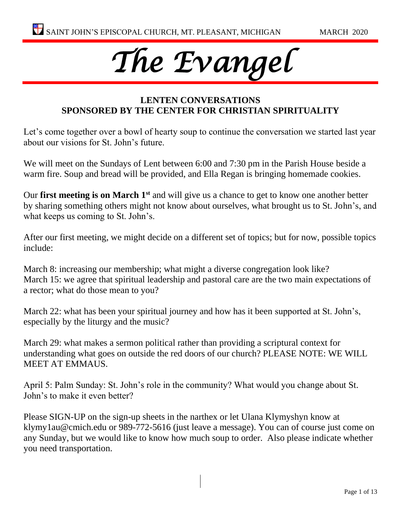# *The Evangel*

## **LENTEN CONVERSATIONS SPONSORED BY THE CENTER FOR CHRISTIAN SPIRITUALITY**

Let's come together over a bowl of hearty soup to continue the conversation we started last year about our visions for St. John's future.

We will meet on the Sundays of Lent between 6:00 and 7:30 pm in the Parish House beside a warm fire. Soup and bread will be provided, and Ella Regan is bringing homemade cookies.

Our **first meeting is on March 1st** and will give us a chance to get to know one another better by sharing something others might not know about ourselves, what brought us to St. John's, and what keeps us coming to St. John's.

After our first meeting, we might decide on a different set of topics; but for now, possible topics include:

March 8: increasing our membership; what might a diverse congregation look like? March 15: we agree that spiritual leadership and pastoral care are the two main expectations of a rector; what do those mean to you?

March 22: what has been your spiritual journey and how has it been supported at St. John's, especially by the liturgy and the music?

March 29: what makes a sermon political rather than providing a scriptural context for understanding what goes on outside the red doors of our church? PLEASE NOTE: WE WILL MEET AT EMMAUS.

April 5: Palm Sunday: St. John's role in the community? What would you change about St. John's to make it even better?

Please SIGN-UP on the sign-up sheets in the narthex or let Ulana Klymyshyn know at [klymy1au@cmich.edu](mailto:klymy1au@cmich.edu) or 989-772-5616 (just leave a message). You can of course just come on any Sunday, but we would like to know how much soup to order. Also please indicate whether you need transportation.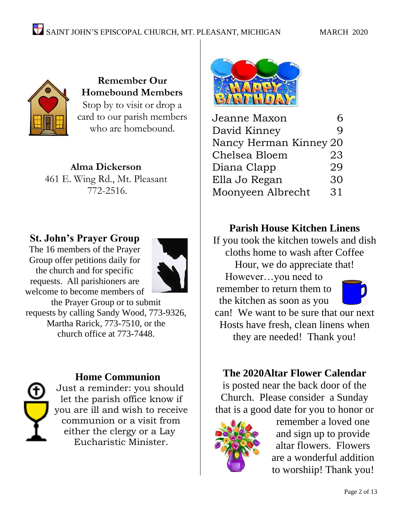

**Remember Our Homebound Members** Stop by to visit or drop a card to our parish members who are homebound.

**Alma Dickerson** 461 E. Wing Rd., Mt. Pleasant 772-2516.

## **St. John's Prayer Group**

The 16 members of the Prayer Group offer petitions daily for the church and for specific requests. All parishioners are welcome to become members of



the Prayer Group or to submit requests by calling Sandy Wood, 773-9326, Martha Rarick, 773-7510, or the church office at 773-7448.

## **Home Communion**

Just a reminder: you should let the parish office know if you are ill and wish to receive communion or a visit from either the clergy or a Lay Eucharistic Minister.



| Jeanne Maxon           | 6  |
|------------------------|----|
| David Kinney           | Q  |
| Nancy Herman Kinney 20 |    |
| Chelsea Bloem          | 23 |
| Diana Clapp            | 29 |
| Ella Jo Regan          | 30 |
| Moonyeen Albrecht      | 31 |
|                        |    |

## **Parish House Kitchen Linens**

If you took the kitchen towels and dish cloths home to wash after Coffee Hour, we do appreciate that! However…you need to

remember to return them to the kitchen as soon as you can! We want to be sure that our next Hosts have fresh, clean linens when they are needed! Thank you!

## **The 2020Altar Flower Calendar**

is posted near the back door of the Church. Please consider a Sunday that is a good date for you to honor or



remember a loved one and sign up to provide altar flowers. Flowers are a wonderful addition to worshiip! Thank you!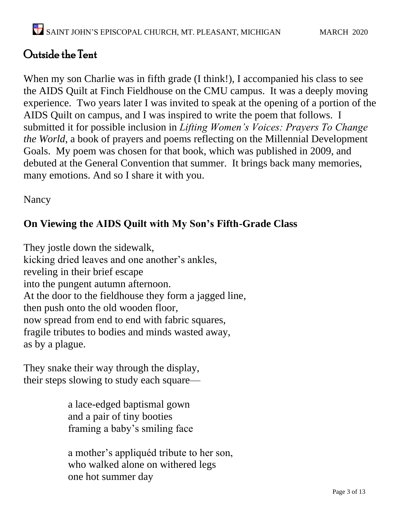## Outside the Tent

When my son Charlie was in fifth grade (I think!), I accompanied his class to see the AIDS Quilt at Finch Fieldhouse on the CMU campus. It was a deeply moving experience. Two years later I was invited to speak at the opening of a portion of the AIDS Quilt on campus, and I was inspired to write the poem that follows. I submitted it for possible inclusion in *Lifting Women's Voices: Prayers To Change the World*, a book of prayers and poems reflecting on the Millennial Development Goals. My poem was chosen for that book, which was published in 2009, and debuted at the General Convention that summer. It brings back many memories, many emotions. And so I share it with you.

Nancy

## **On Viewing the AIDS Quilt with My Son's Fifth-Grade Class**

They jostle down the sidewalk, kicking dried leaves and one another's ankles, reveling in their brief escape into the pungent autumn afternoon. At the door to the fieldhouse they form a jagged line, then push onto the old wooden floor, now spread from end to end with fabric squares, fragile tributes to bodies and minds wasted away, as by a plague.

They snake their way through the display, their steps slowing to study each square—

> a lace-edged baptismal gown and a pair of tiny booties framing a baby's smiling face

 a mother's appliquéd tribute to her son, who walked alone on withered legs one hot summer day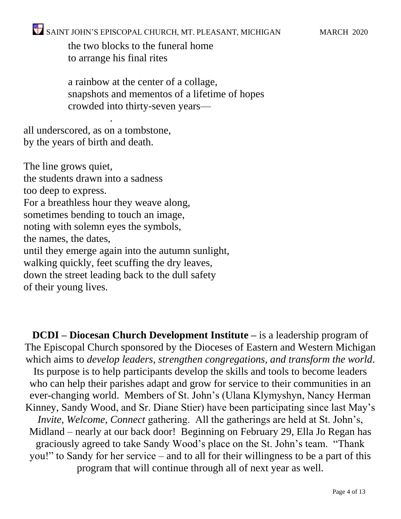the two blocks to the funeral home to arrange his final rites

 a rainbow at the center of a collage, snapshots and mementos of a lifetime of hopes crowded into thirty-seven years—

all underscored, as on a tombstone, by the years of birth and death.

.

The line grows quiet, the students drawn into a sadness too deep to express. For a breathless hour they weave along, sometimes bending to touch an image, noting with solemn eyes the symbols, the names, the dates, until they emerge again into the autumn sunlight, walking quickly, feet scuffing the dry leaves, down the street leading back to the dull safety of their young lives.

**DCDI – Diocesan Church Development Institute –** is a leadership program of The Episcopal Church sponsored by the Dioceses of Eastern and Western Michigan which aims to *develop leaders, strengthen congregations, and transform the world*. Its purpose is to help participants develop the skills and tools to become leaders who can help their parishes adapt and grow for service to their communities in an ever-changing world. Members of St. John's (Ulana Klymyshyn, Nancy Herman Kinney, Sandy Wood, and Sr. Diane Stier) have been participating since last May's *Invite, Welcome, Connect* gathering. All the gatherings are held at St. John's, Midland – nearly at our back door! Beginning on February 29, Ella Jo Regan has graciously agreed to take Sandy Wood's place on the St. John's team. "Thank you!" to Sandy for her service – and to all for their willingness to be a part of this

program that will continue through all of next year as well.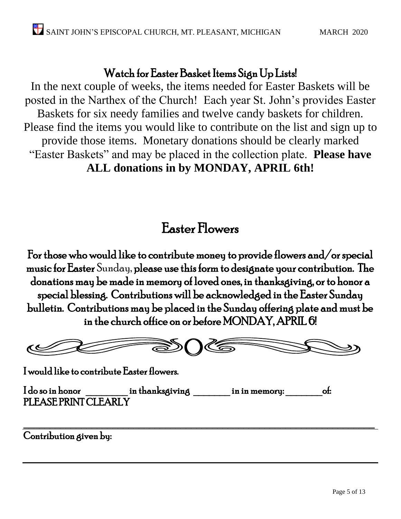## Watch for Easter Basket Items Sign Up Lists!

In the next couple of weeks, the items needed for Easter Baskets will be posted in the Narthex of the Church! Each year St. John's provides Easter Baskets for six needy families and twelve candy baskets for children. Please find the items you would like to contribute on the list and sign up to provide those items. Monetary donations should be clearly marked "Easter Baskets" and may be placed in the collection plate. **Please have ALL donations in by MONDAY, APRIL 6th!**

# Easter Flowers

For those who would like to contribute money to provide flowers and/or special music for Easter Sunday, please use this form to designate your contribution. The donations may be made in memory of loved ones, in thanksgiving, or to honor a special blessing. Contributions will be acknowledged in the Easter Sunday bulletin. Contributions may be placed in the Sunday offering plate and must be in the church office on or before MONDAY, APRIL 6!



 $\mathcal{L}_\text{max}$  , and the contract of the contract of the contract of the contract of the contract of the contract of the contract of the contract of the contract of the contract of the contract of the contract of the contr

I would like to contribute Easter flowers.

I do so in honor in thanksgiving in in memory: of: PLEASE PRINT CLEARLY

Contribution given by: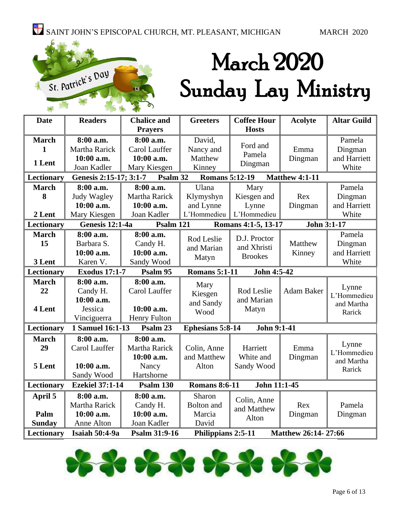

# March 2020 Sunday Lay Ministry

| <b>Date</b>       | <b>Readers</b>                                                          | <b>Chalice and</b>  | <b>Coffee Hour</b><br><b>Greeters</b>            |                     | <b>Acolyte</b>        | <b>Altar Guild</b>   |     |        |
|-------------------|-------------------------------------------------------------------------|---------------------|--------------------------------------------------|---------------------|-----------------------|----------------------|-----|--------|
|                   |                                                                         | <b>Prayers</b>      |                                                  | <b>Hosts</b>        |                       |                      |     |        |
| <b>March</b>      | 8:00 a.m.                                                               | 8:00 a.m.           | David,                                           |                     |                       | Pamela               |     |        |
| 1                 | Martha Rarick                                                           | Carol Lauffer       | Nancy and                                        | Ford and            | Emma                  | Dingman              |     |        |
| 1 Lent            | 10:00 a.m.                                                              | 10:00 a.m.          | Matthew                                          | Pamela              | Dingman               | and Harriett         |     |        |
|                   | Joan Kadler                                                             | Mary Kiesgen        | Kinney                                           | Dingman             |                       | White                |     |        |
| <b>Lectionary</b> | Genesis 2:15-17; 3:1-7                                                  | Psalm 32            | <b>Romans 5:12-19</b>                            |                     | <b>Matthew 4:1-11</b> |                      |     |        |
| <b>March</b>      | 8:00 a.m.                                                               | 8:00 a.m.           | Ulana                                            | Mary                |                       | Pamela               |     |        |
| 8                 | Judy Wagley                                                             | Martha Rarick       | Klymyshyn                                        | Kiesgen and         | Rex                   | Dingman              |     |        |
|                   | 10:00 a.m.                                                              | 10:00 a.m.          | and Lynne                                        | Lynne               | Dingman               | and Harriett         |     |        |
| 2 Lent            | Mary Kiesgen                                                            | Joan Kadler         | L'Hommedieu                                      | L'Hommedieu         |                       | White                |     |        |
| Lectionary        | <b>Genesis 12:1-4a</b>                                                  | Psalm 121           |                                                  | Romans 4:1-5, 13-17 | John 3:1-17           |                      |     |        |
| <b>March</b>      | 8:00 a.m.                                                               | 8:00 a.m.           |                                                  | D.J. Proctor        |                       | Pamela               |     |        |
| 15                | Barbara S.                                                              | Candy H.            | Rod Leslie                                       | and Xhristi         | Matthew               | Dingman              |     |        |
|                   | 10:00 a.m.                                                              | 10:00 a.m.          | and Marian                                       | <b>Brookes</b>      | Kinney                | and Harriett         |     |        |
| 3 Lent            | Karen V.                                                                | Sandy Wood          | Matyn                                            |                     |                       | White                |     |        |
| <b>Lectionary</b> | John 4:5-42<br><b>Exodus 17:1-7</b><br><b>Romans 5:1-11</b><br>Psalm 95 |                     |                                                  |                     |                       |                      |     |        |
| <b>March</b>      | 8:00 a.m.                                                               | 8:00 a.m.           | Mary                                             |                     |                       |                      |     |        |
| 22                | Candy H.                                                                | Carol Lauffer       | Rod Leslie<br>Kiesgen<br>and Marian<br>and Sandy |                     | Adam Baker            | Lynne<br>L'Hommedieu |     |        |
|                   | 10:00 a.m.                                                              |                     |                                                  |                     | and Martha            |                      |     |        |
| 4 Lent            | Jessica                                                                 | $10:00$ a.m.        | Wood                                             | Matyn               |                       | Rarick               |     |        |
|                   | Vinciguerra                                                             | <b>Henry Fulton</b> |                                                  |                     |                       |                      |     |        |
| Lectionary        | 1 Samuel 16:1-13                                                        | Psalm 23            | <b>Ephesians 5:8-14</b>                          | John 9:1-41         |                       |                      |     |        |
| <b>March</b>      | 8:00 a.m.                                                               | 8:00 a.m.           |                                                  |                     |                       |                      |     |        |
| 29                | Carol Lauffer                                                           | Martha Rarick       | Colin, Anne                                      | Harriett            | Emma                  | Lynne<br>L'Hommedieu |     |        |
|                   |                                                                         | 10:00 a.m.          | and Matthew                                      | White and           | Dingman               | and Martha           |     |        |
| 5 Lent            | 10:00 a.m.                                                              | Nancy               | Alton                                            | Sandy Wood          |                       | Rarick               |     |        |
|                   | Sandy Wood                                                              | Hartshorne          |                                                  |                     |                       |                      |     |        |
| Lectionary        | <b>Ezekiel 37:1-14</b>                                                  | Psalm 130           | <b>Romans 8:6-11</b>                             | John 11:1-45        |                       |                      |     |        |
| April 5           | 8:00 a.m.                                                               | 8:00 a.m.           | Sharon                                           | Colin, Anne         |                       |                      |     |        |
|                   | Martha Rarick                                                           | Candy H.            | and Matthew                                      |                     | <b>Bolton</b> and     |                      | Rex | Pamela |
| Palm              | 10:00 a.m.                                                              | 10:00 a.m.          | Marcia                                           | Alton               | Dingman               | Dingman              |     |        |
| <b>Sunday</b>     | Anne Alton                                                              | Joan Kadler         | David                                            |                     |                       |                      |     |        |
| Lectionary        |                                                                         |                     |                                                  |                     |                       |                      |     |        |

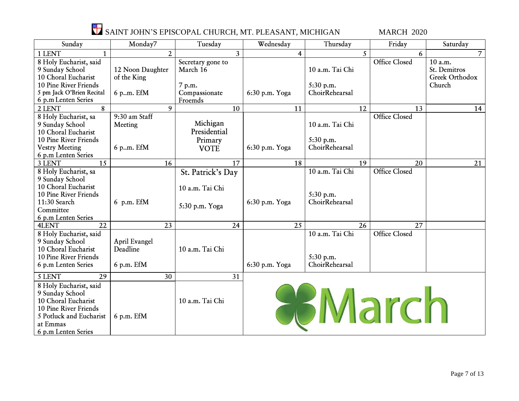

| Sunday                    | Monday7          | Tuesday           | Wednesday      | Thursday        | Friday               | Saturday             |
|---------------------------|------------------|-------------------|----------------|-----------------|----------------------|----------------------|
| 1 LENT<br>$\mathbf{1}$    | $\overline{2}$   | 3                 | 4              | $\mathcal{F}$   | 6                    | $\overline{7}$       |
| 8 Holy Eucharist, said    |                  | Secretary gone to |                |                 | <b>Office Closed</b> | $\overline{1}0$ a.m. |
| 9 Sunday School           | 12 Noon Daughter | March 16          |                | 10 a.m. Tai Chi |                      | St. Demitros         |
| 10 Choral Eucharist       | of the King      |                   |                |                 |                      | Greek Orthodox       |
| 10 Pine River Friends     |                  | 7 p.m.            |                | 5:30 p.m.       |                      | Church               |
| 5 pm Jack O'Brien Recital | 6 p.m. EfM       | Compassionate     | 6:30 p.m. Yoga | ChoirRehearsal  |                      |                      |
| 6 p.m Lenten Series       |                  | Froemds           |                |                 |                      |                      |
| 2 LENT<br>8               | 9                | 10                | 11             | 12              | 13                   | 14                   |
| 8 Holy Eucharist, sa      | 9:30 am Staff    |                   |                |                 | Office Closed        |                      |
| 9 Sunday School           | Meeting          | Michigan          |                | 10 a.m. Tai Chi |                      |                      |
| 10 Choral Eucharist       |                  | Presidential      |                |                 |                      |                      |
| 10 Pine River Friends     |                  | Primary           |                | 5:30 p.m.       |                      |                      |
| <b>Vestry Meeting</b>     | 6 p.m. EfM       | <b>VOTE</b>       | 6:30 p.m. Yoga | ChoirRehearsal  |                      |                      |
| 6 p.m Lenten Series       |                  |                   |                |                 |                      |                      |
| 3 LENT<br>15              | 16               | 17                | 18             | 19              | 20                   | 21                   |
| 8 Holy Eucharist, sa      |                  | St. Patrick's Day |                | 10 a.m. Tai Chi | <b>Office Closed</b> |                      |
| 9 Sunday School           |                  |                   |                |                 |                      |                      |
| 10 Choral Eucharist       |                  | 10 a.m. Tai Chi   |                |                 |                      |                      |
| 10 Pine River Friends     |                  |                   |                | 5:30 p.m.       |                      |                      |
| 11:30 Search              | 6 p.m. EfM       | 5:30 p.m. Yoga    | 6:30 p.m. Yoga | ChoirRehearsal  |                      |                      |
| Committee                 |                  |                   |                |                 |                      |                      |
| 6 p.m Lenten Series       |                  |                   |                |                 |                      |                      |
| 22<br><b>4LENT</b>        | 23               | 24                | 25             | 26              | 27                   |                      |
| 8 Holy Eucharist, said    |                  |                   |                | 10 a.m. Tai Chi | <b>Office Closed</b> |                      |
| 9 Sunday School           | April Evangel    |                   |                |                 |                      |                      |
| 10 Choral Eucharist       | Deadline         | 10 a.m. Tai Chi   |                |                 |                      |                      |
| 10 Pine River Friends     |                  |                   |                | 5:30 p.m.       |                      |                      |
| 6 p.m Lenten Series       | $6$ p.m. EfM     |                   | 6:30 p.m. Yoga | ChoirRehearsal  |                      |                      |
| 29<br>5 LENT              | 30               | 31                |                |                 |                      |                      |
| 8 Holy Eucharist, said    |                  |                   |                |                 |                      |                      |
| 9 Sunday School           |                  |                   |                |                 |                      |                      |
| 10 Choral Eucharist       |                  | 10 a.m. Tai Chi   |                |                 | <b>Ilarch</b>        |                      |
| 10 Pine River Friends     |                  |                   |                |                 |                      |                      |
| 5 Potluck and Eucharist   | 6 p.m. EfM       |                   |                |                 |                      |                      |
| at Emmas                  |                  |                   |                |                 |                      |                      |
| 6 p.m Lenten Series       |                  |                   |                |                 |                      |                      |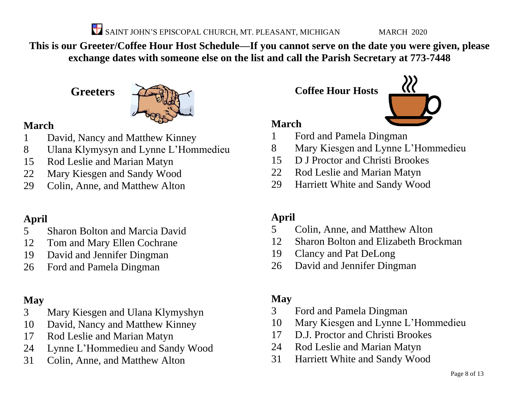**This is our Greeter/Coffee Hour Host Schedule—If you cannot serve on the date you were given, please exchange dates with someone else on the list and call the Parish Secretary at 773-7448**

**Greeters**



## **March**

- David, Nancy and Matthew Kinney
- Ulana Klymysyn and Lynne L'Hommedieu
- Rod Leslie and Marian Matyn
- Mary Kiesgen and Sandy Wood
- Colin, Anne, and Matthew Alton

## **April**

- Sharon Bolton and Marcia David
- Tom and Mary Ellen Cochrane
- David and Jennifer Dingman
- Ford and Pamela Dingman

## **May**

- Mary Kiesgen and Ulana Klymyshyn
- David, Nancy and Matthew Kinney
- Rod Leslie and Marian Matyn
- Lynne L'Hommedieu and Sandy Wood
- Colin, Anne, and Matthew Alton

**Coffee Hour Hosts**



## **March**

- Ford and Pamela Dingman
- Mary Kiesgen and Lynne L'Hommedieu
- D J Proctor and Christi Brookes
- Rod Leslie and Marian Matyn
- Harriett White and Sandy Wood

## **April**

- Colin, Anne, and Matthew Alton
- Sharon Bolton and Elizabeth Brockman
- Clancy and Pat DeLong
- David and Jennifer Dingman

## **May**

- Ford and Pamela Dingman
- Mary Kiesgen and Lynne L'Hommedieu
- D.J. Proctor and Christi Brookes
- Rod Leslie and Marian Matyn
- Harriett White and Sandy Wood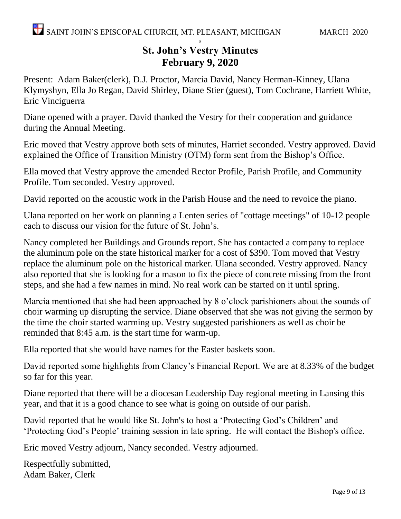#### S **St. John's Vestry Minutes February 9, 2020**

Present: Adam Baker(clerk), D.J. Proctor, Marcia David, Nancy Herman-Kinney, Ulana Klymyshyn, Ella Jo Regan, David Shirley, Diane Stier (guest), Tom Cochrane, Harriett White, Eric Vinciguerra

Diane opened with a prayer. David thanked the Vestry for their cooperation and guidance during the Annual Meeting.

Eric moved that Vestry approve both sets of minutes, Harriet seconded. Vestry approved. David explained the Office of Transition Ministry (OTM) form sent from the Bishop's Office.

Ella moved that Vestry approve the amended Rector Profile, Parish Profile, and Community Profile. Tom seconded. Vestry approved.

David reported on the acoustic work in the Parish House and the need to revoice the piano.

Ulana reported on her work on planning a Lenten series of "cottage meetings" of 10-12 people each to discuss our vision for the future of St. John's.

Nancy completed her Buildings and Grounds report. She has contacted a company to replace the aluminum pole on the state historical marker for a cost of \$390. Tom moved that Vestry replace the aluminum pole on the historical marker. Ulana seconded. Vestry approved. Nancy also reported that she is looking for a mason to fix the piece of concrete missing from the front steps, and she had a few names in mind. No real work can be started on it until spring.

Marcia mentioned that she had been approached by 8 o'clock parishioners about the sounds of choir warming up disrupting the service. Diane observed that she was not giving the sermon by the time the choir started warming up. Vestry suggested parishioners as well as choir be reminded that 8:45 a.m. is the start time for warm-up.

Ella reported that she would have names for the Easter baskets soon.

David reported some highlights from Clancy's Financial Report. We are at 8.33% of the budget so far for this year.

Diane reported that there will be a diocesan Leadership Day regional meeting in Lansing this year, and that it is a good chance to see what is going on outside of our parish.

David reported that he would like St. John's to host a 'Protecting God's Children' and 'Protecting God's People' training session in late spring. He will contact the Bishop's office.

Eric moved Vestry adjourn, Nancy seconded. Vestry adjourned.

Respectfully submitted, Adam Baker, Clerk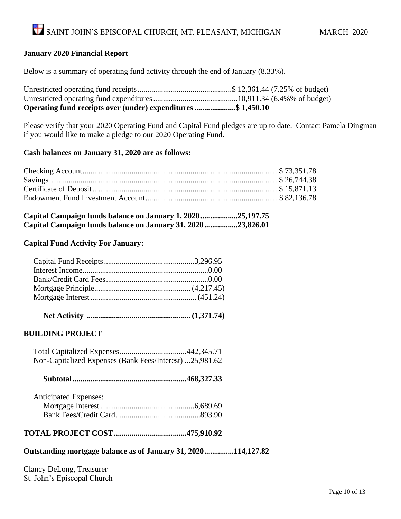#### **January 2020 Financial Report**

Below is a summary of operating fund activity through the end of January (8.33%).

| Operating fund receipts over (under) expenditures \$ 1,450.10 |  |
|---------------------------------------------------------------|--|
|                                                               |  |
|                                                               |  |

Please verify that your 2020 Operating Fund and Capital Fund pledges are up to date. Contact Pamela Dingman if you would like to make a pledge to our 2020 Operating Fund.

#### **Cash balances on January 31, 2020 are as follows:**

| Capital Campaign funds balance on January 1, 2020 25,197.75 |  |  |
|-------------------------------------------------------------|--|--|
| Capital Campaign funds balance on January 31, 202023,826.01 |  |  |

#### **Capital Fund Activity For January:**

|--|--|--|--|--|--|

#### **BUILDING PROJECT**

 Total Capitalized Expenses..................................442,345.71 Non-Capitalized Expenses (Bank Fees/Interest) ...25,981.62

|--|--|--|--|--|--|

| <b>Anticipated Expenses:</b> |  |
|------------------------------|--|
|                              |  |
|                              |  |

### **TOTAL PROJECT COST.....................................475,910.92**

#### **Outstanding mortgage balance as of January 31, 2020...............114,127.82**

Clancy DeLong, Treasurer St. John's Episcopal Church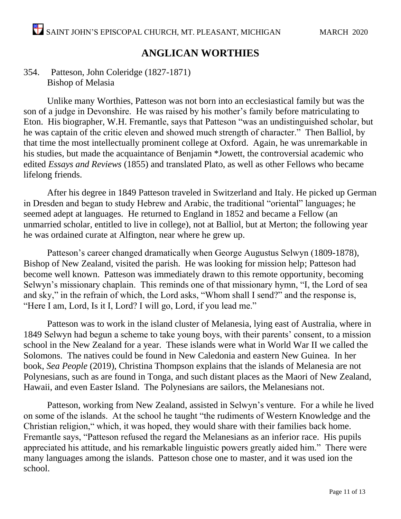## **ANGLICAN WORTHIES**

### 354. Patteson, John Coleridge (1827-1871) Bishop of Melasia

Unlike many Worthies, Patteson was not born into an ecclesiastical family but was the son of a judge in Devonshire. He was raised by his mother's family before matriculating to Eton. His biographer, W.H. Fremantle, says that Patteson "was an undistinguished scholar, but he was captain of the critic eleven and showed much strength of character." Then Balliol, by that time the most intellectually prominent college at Oxford. Again, he was unremarkable in his studies, but made the acquaintance of Benjamin \*Jowett, the controversial academic who edited *Essays and Reviews* (1855) and translated Plato, as well as other Fellows who became lifelong friends.

After his degree in 1849 Patteson traveled in Switzerland and Italy. He picked up German in Dresden and began to study Hebrew and Arabic, the traditional "oriental" languages; he seemed adept at languages. He returned to England in 1852 and became a Fellow (an unmarried scholar, entitled to live in college), not at Balliol, but at Merton; the following year he was ordained curate at Alfington, near where he grew up.

Patteson's career changed dramatically when George Augustus Selwyn (1809-1878), Bishop of New Zealand, visited the parish. He was looking for mission help; Patteson had become well known. Patteson was immediately drawn to this remote opportunity, becoming Selwyn's missionary chaplain. This reminds one of that missionary hymn, "I, the Lord of sea and sky," in the refrain of which, the Lord asks, "Whom shall I send?" and the response is, "Here I am, Lord, Is it I, Lord? I will go, Lord, if you lead me."

Patteson was to work in the island cluster of Melanesia, lying east of Australia, where in 1849 Selwyn had begun a scheme to take young boys, with their parents' consent, to a mission school in the New Zealand for a year. These islands were what in World War II we called the Solomons. The natives could be found in New Caledonia and eastern New Guinea. In her book, *Sea People* (2019), Christina Thompson explains that the islands of Melanesia are not Polynesians, such as are found in Tonga, and such distant places as the Maori of New Zealand, Hawaii, and even Easter Island. The Polynesians are sailors, the Melanesians not.

Patteson, working from New Zealand, assisted in Selwyn's venture. For a while he lived on some of the islands. At the school he taught "the rudiments of Western Knowledge and the Christian religion," which, it was hoped, they would share with their families back home. Fremantle says, "Patteson refused the regard the Melanesians as an inferior race. His pupils appreciated his attitude, and his remarkable linguistic powers greatly aided him." There were many languages among the islands. Patteson chose one to master, and it was used ion the school.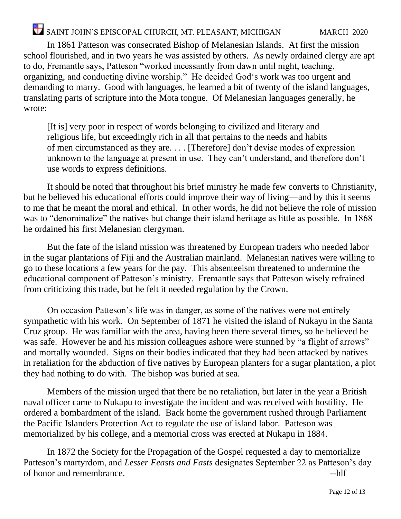In 1861 Patteson was consecrated Bishop of Melanesian Islands. At first the mission school flourished, and in two years he was assisted by others. As newly ordained clergy are apt to do, Fremantle says, Patteson "worked incessantly from dawn until night, teaching, organizing, and conducting divine worship." He decided God's work was too urgent and demanding to marry. Good with languages, he learned a bit of twenty of the island languages, translating parts of scripture into the Mota tongue. Of Melanesian languages generally, he wrote:

[It is] very poor in respect of words belonging to civilized and literary and religious life, but exceedingly rich in all that pertains to the needs and habits of men circumstanced as they are. . . . [Therefore] don't devise modes of expression unknown to the language at present in use. They can't understand, and therefore don't use words to express definitions.

It should be noted that throughout his brief ministry he made few converts to Christianity, but he believed his educational efforts could improve their way of living—and by this it seems to me that he meant the moral and ethical. In other words, he did not believe the role of mission was to "denominalize" the natives but change their island heritage as little as possible. In 1868 he ordained his first Melanesian clergyman.

But the fate of the island mission was threatened by European traders who needed labor in the sugar plantations of Fiji and the Australian mainland. Melanesian natives were willing to go to these locations a few years for the pay. This absenteeism threatened to undermine the educational component of Patteson's ministry. Fremantle says that Patteson wisely refrained from criticizing this trade, but he felt it needed regulation by the Crown.

On occasion Patteson's life was in danger, as some of the natives were not entirely sympathetic with his work. On September of 1871 he visited the island of Nukayu in the Santa Cruz group. He was familiar with the area, having been there several times, so he believed he was safe. However he and his mission colleagues ashore were stunned by "a flight of arrows" and mortally wounded. Signs on their bodies indicated that they had been attacked by natives in retaliation for the abduction of five natives by European planters for a sugar plantation, a plot they had nothing to do with. The bishop was buried at sea.

Members of the mission urged that there be no retaliation, but later in the year a British naval officer came to Nukapu to investigate the incident and was received with hostility. He ordered a bombardment of the island. Back home the government rushed through Parliament the Pacific Islanders Protection Act to regulate the use of island labor. Patteson was memorialized by his college, and a memorial cross was erected at Nukapu in 1884.

In 1872 the Society for the Propagation of the Gospel requested a day to memorialize Patteson's martyrdom, and *Lesser Feasts and Fasts* designates September 22 as Patteson's day of honor and remembrance.